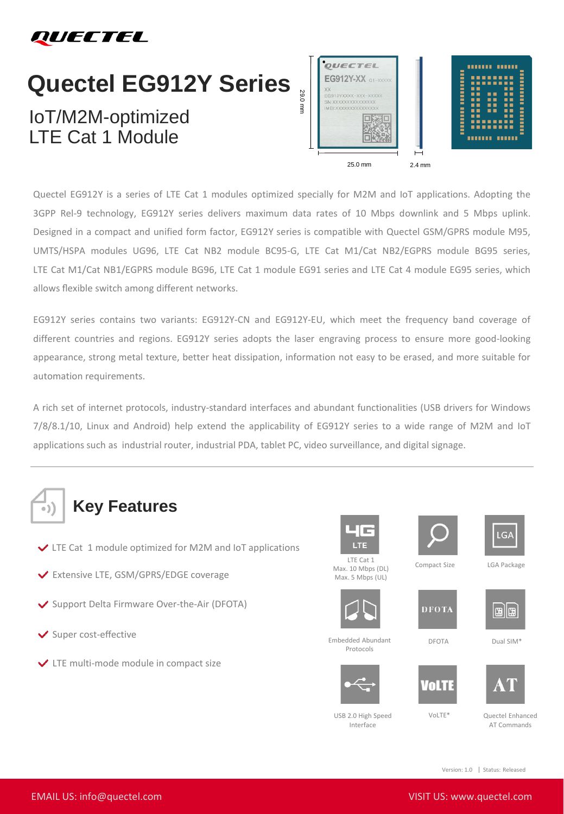

## **Quectel EG912Y Series**

## IoT/M2M-optimized LTE Cat 1 Module



Quectel EG912Y is a series of LTE Cat 1 modules optimized specially for M2M and IoT applications. Adopting the 3GPP Rel-9 technology, EG912Y series delivers maximum data rates of 10 Mbps downlink and 5 Mbps uplink. Designed in a compact and unified form factor, EG912Y series is compatible with Quectel GSM/GPRS module M95, UMTS/HSPA modules UG96, LTE Cat NB2 module BC95-G, LTE Cat M1/Cat NB2/EGPRS module BG95 series, LTE Cat M1/Cat NB1/EGPRS module BG96, LTE Cat 1 module EG91 series and LTE Cat 4 module EG95 series, which allows flexible switch among different networks.

EG912Y series contains two variants: EG912Y-CN and EG912Y-EU, which meet the frequency band coverage of different countries and regions. EG912Y series adopts the laser engraving process to ensure more good-looking appearance, strong metal texture, better heat dissipation, information not easy to be erased, and more suitable for automation requirements.

A rich set of internet protocols, industry-standard interfaces and abundant functionalities (USB drivers for Windows 7/8/8.1/10, Linux and Android) help extend the applicability of EG912Y series to a wide range of M2M and IoT applications such as industrial router, industrial PDA, tablet PC, video surveillance, and digital signage.



- $\vee$  LTE Cat 1 module optimized for M2M and IoT applications
- Extensive LTE, GSM/GPRS/EDGE coverage
- ◆ Support Delta Firmware Over-the-Air (DFOTA)
- $\blacktriangleright$  Super cost-effective
- LTE multi-mode module in compact size







LTE Cat 1 Max. 10 Mbps (DL) Max. 5 Mbps (UL)



Embedded Abundant Protocols



Compact Size LGA Package



DFOTA Dual SIM\*



Interface

USB 2.0 High Speed VoLTE\*

川川

Quectel Enhanced AT Commands

Version: 1.0 | Status: Released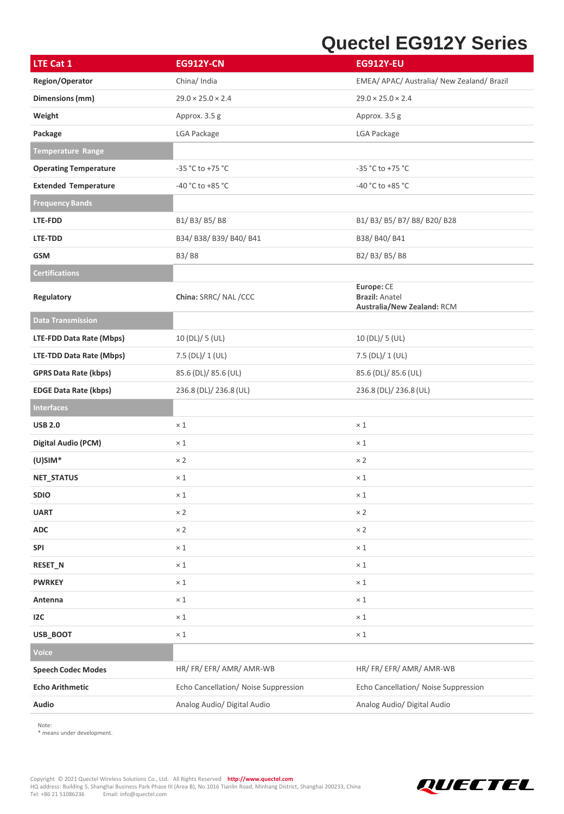## **Quectel EG912Y Series**

| LTE Cat 1                    | <b>EG912Y-CN</b>                     | <b>EG912Y-EU</b>                                                  |
|------------------------------|--------------------------------------|-------------------------------------------------------------------|
| Region/Operator              | China/ India                         | EMEA/ APAC/ Australia/ New Zealand/ Brazil                        |
| Dimensions (mm)              | $29.0 \times 25.0 \times 2.4$        | $29.0 \times 25.0 \times 2.4$                                     |
| Weight                       | Approx. 3.5 g                        | Approx. 3.5 g                                                     |
| Package                      | LGA Package                          | LGA Package                                                       |
| <b>Temperature Range</b>     |                                      |                                                                   |
| <b>Operating Temperature</b> | $-35 °C$ to $+75 °C$                 | $-35 °C$ to $+75 °C$                                              |
| <b>Extended Temperature</b>  | -40 °C to +85 °C                     | $-40 °C$ to $+85 °C$                                              |
| <b>Frequency Bands</b>       |                                      |                                                                   |
| LTE-FDD                      | B1/B3/B5/B8                          | B1/ B3/ B5/ B7/ B8/ B20/ B28                                      |
| LTE-TDD                      | B34/ B38/ B39/ B40/ B41              | B38/B40/B41                                                       |
| GSM                          | B3/B8                                | B2/B3/B5/B8                                                       |
| <b>Certifications</b>        |                                      |                                                                   |
| Regulatory                   | China: SRRC/ NAL/CCC                 | Europe: CE<br><b>Brazil: Anatel</b><br>Australia/New Zealand: RCM |
| <b>Data Transmission</b>     |                                      |                                                                   |
| LTE-FDD Data Rate (Mbps)     | 10 (DL)/ 5 (UL)                      | 10(DL)/5(UL)                                                      |
| LTE-TDD Data Rate (Mbps)     | 7.5 (DL)/ 1 (UL)                     | $7.5$ (DL)/ 1 (UL)                                                |
| <b>GPRS Data Rate (kbps)</b> | 85.6 (DL)/ 85.6 (UL)                 | 85.6 (DL)/ 85.6 (UL)                                              |
| <b>EDGE Data Rate (kbps)</b> | 236.8 (DL)/ 236.8 (UL)               | 236.8 (DL)/ 236.8 (UL)                                            |
| <b>Interfaces</b>            |                                      |                                                                   |
| <b>USB 2.0</b>               | $\times$ 1                           | $\times$ 1                                                        |
| <b>Digital Audio (PCM)</b>   | $\times$ 1                           | $\times$ 1                                                        |
| $(U)$ SIM*                   | $\times 2$                           | $\times 2$                                                        |
| NET_STATUS                   | $\times$ 1                           | $\times$ 1                                                        |
| <b>SDIO</b>                  | $\times$ 1                           | $\times$ 1                                                        |
| <b>UART</b>                  | $\times 2$                           | $\times 2$                                                        |
| <b>ADC</b>                   | $\times 2$                           | $\times 2$                                                        |
| <b>SPI</b>                   | $\times$ 1                           | $\times$ 1                                                        |
| RESET_N                      | $\times$ 1                           | $\times$ 1                                                        |
| <b>PWRKEY</b>                | $\times$ 1                           | $\times$ 1                                                        |
| Antenna                      | $\times$ 1                           | $\times$ 1                                                        |
| 12C                          | $\times$ 1                           | $\times$ 1                                                        |
| USB_BOOT                     | $\times$ 1                           | $\times$ 1                                                        |
| Voice                        |                                      |                                                                   |
| <b>Speech Codec Modes</b>    | HR/FR/EFR/AMR/AMR-WB                 | HR/FR/EFR/AMR/AMR-WB                                              |
| <b>Echo Arithmetic</b>       | Echo Cancellation/ Noise Suppression | Echo Cancellation/ Noise Suppression                              |
| Audio                        | Analog Audio/ Digital Audio          | Analog Audio/ Digital Audio                                       |

Note:

\* means under development.